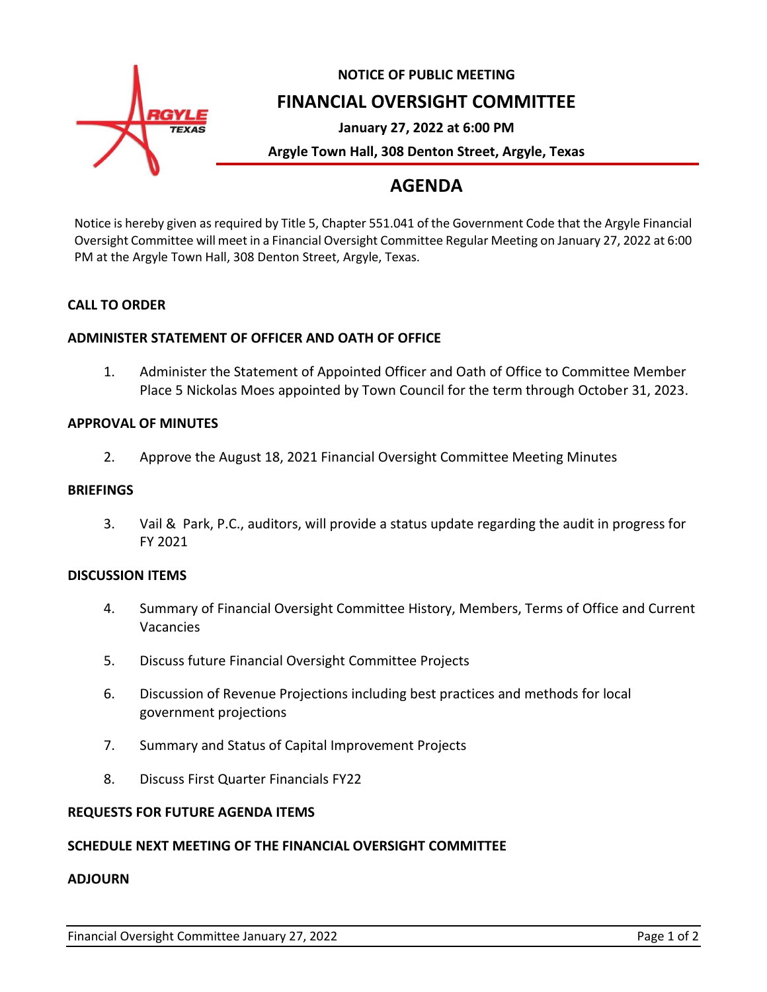

## **NOTICE OF PUBLIC MEETING FINANCIAL OVERSIGHT COMMITTEE**

**January 27, 2022 at 6:00 PM**

**Argyle Town Hall, 308 Denton Street, Argyle, Texas**

# **AGENDA**

Notice is hereby given as required by Title 5, Chapter 551.041 of the Government Code that the Argyle Financial Oversight Committee will meet in a Financial Oversight Committee Regular Meeting on January 27, 2022 at 6:00 PM at the Argyle Town Hall, 308 Denton Street, Argyle, Texas.

### **CALL TO ORDER**

### **ADMINISTER STATEMENT OF OFFICER AND OATH OF OFFICE**

1. Administer the Statement of Appointed Officer and Oath of Office to Committee Member Place 5 Nickolas Moes appointed by Town Council for the term through October 31, 2023.

#### **APPROVAL OF MINUTES**

2. Approve the August 18, 2021 Financial Oversight Committee Meeting Minutes

#### **BRIEFINGS**

3. Vail & Park, P.C., auditors, will provide a status update regarding the audit in progress for FY 2021

#### **DISCUSSION ITEMS**

- 4. Summary of Financial Oversight Committee History, Members, Terms of Office and Current Vacancies
- 5. Discuss future Financial Oversight Committee Projects
- 6. Discussion of Revenue Projections including best practices and methods for local government projections
- 7. Summary and Status of Capital Improvement Projects
- 8. Discuss First Quarter Financials FY22

#### **REQUESTS FOR FUTURE AGENDA ITEMS**

#### **SCHEDULE NEXT MEETING OF THE FINANCIAL OVERSIGHT COMMITTEE**

#### **ADJOURN**